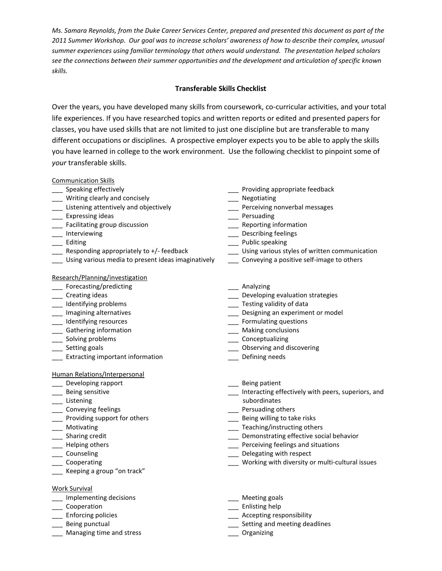*Ms. Samara Reynolds, from the Duke Career Services Center, prepared and presented this document as part of the 2011 Summer Workshop. Our goal was to increase scholars' awareness of how to describe their complex, unusual summer experiences using familiar terminology that others would understand. The presentation helped scholars see the connections between their summer opportunities and the development and articulation of specific known skills.*

# **Transferable Skills Checklist**

Over the years, you have developed many skills from coursework, co-curricular activities, and your total life experiences. If you have researched topics and written reports or edited and presented papers for classes, you have used skills that are not limited to just one discipline but are transferable to many different occupations or disciplines. A prospective employer expects you to be able to apply the skills you have learned in college to the work environment. Use the following checklist to pinpoint some of *your* transferable skills.

### Communication Skills

- 
- \_\_\_ Writing clearly and concisely \_\_\_ Negotiating
- \_\_\_ Listening attentively and objectively \_\_\_ Perceiving nonverbal messages
- Lackgrounding Expressing ideas the contract of the contract of the contract of the contract of the contract of the contract of the contract of the contract of the contract of the contract of the contract of the contract of
- \_\_\_ Facilitating group discussion \_\_\_ Reporting information
- 
- 
- 
- \_\_\_ Using various media to present ideas imaginatively \_\_\_ Conveying a positive self-image to others

### Research/Planning/investigation

- Forecasting/predicting **Executive Executive Contracts** Analyzing
- 
- 
- 
- 
- 
- 
- 
- \_\_\_ Extracting important information \_\_\_ Defining needs

### Human Relations/Interpersonal

- Label Developing rapport and the set of the set of the set of the set of the set of the set of the set of the set of the set of the set of the set of the set of the set of the set of the set of the set of the set of the se
- \_\_\_ Being sensitive
- **Listening**
- Lacken Conveying feelings and the set of the conveying feelings and the contract of the contract of the contract  $\frac{1}{2}$  Persuading others
- \_\_\_ Providing support for others \_\_\_ Being willing to take risks
- 
- 
- 
- 
- 
- \_\_\_ Keeping a group "on track"
- Work Survival
- Implementing decisions **Exercise 20** and the Meeting goals
- 
- 
- 
- \_\_\_ Managing time and stress \_\_\_ Organizing
- \_\_\_ Speaking effectively \_\_\_ Providing appropriate feedback
	-
	-
	-
	-
- \_\_\_ Interviewing \_\_\_ Describing feelings
- Latting the entries of the entries of the entries of the entries of the Public speaking
- Lacktrianglet Responding appropriately to +/- feedback and the communication using various styles of written communication
	-
	-
- \_\_\_ Creating ideas definition of the creating ideas and the creation of the creation strategies and the creation strategies and the creation of the creation strategies and the creation of the creation of the creation of th
	- \_\_\_ Testing validity of data
- \_\_\_ Imagining alternatives \_\_\_ Designing an experiment or model
- \_\_\_ Identifying resources \_\_\_ Formulating questions
- \_\_\_ Gathering information \_\_\_ Making conclusions
- \_\_\_ Solving problems \_\_\_ Conceptualizing
- Label Setting goals and the setting goals and discovering and discovering and discovering and discovering
	-
	-
	- \_\_\_ Interacting effectively with peers, superiors, and subordinates
	-
	-
- \_\_\_ Motivating \_\_\_ Teaching/instructing others
- \_\_\_ Sharing credit \_\_\_ Demonstrating effective social behavior
- \_\_\_ Helping others \_\_\_ Perceiving feelings and situations
- Let Counseling the counseling counseling the counseling of the counseling Delegating with respect
- Cooperating the cooperating control of the cooperating with diversity or multi-cultural issues
	-
- \_\_\_ Cooperation \_\_\_ Enlisting help
	- Let Enforcing policies the contract of the contract of the contract of the contract of the contract of the contract of the contract of the contract of the contract of the contract of the contract of the contract of the con
- Labeling punctual and meeting deadlines and meeting deadlines
	-